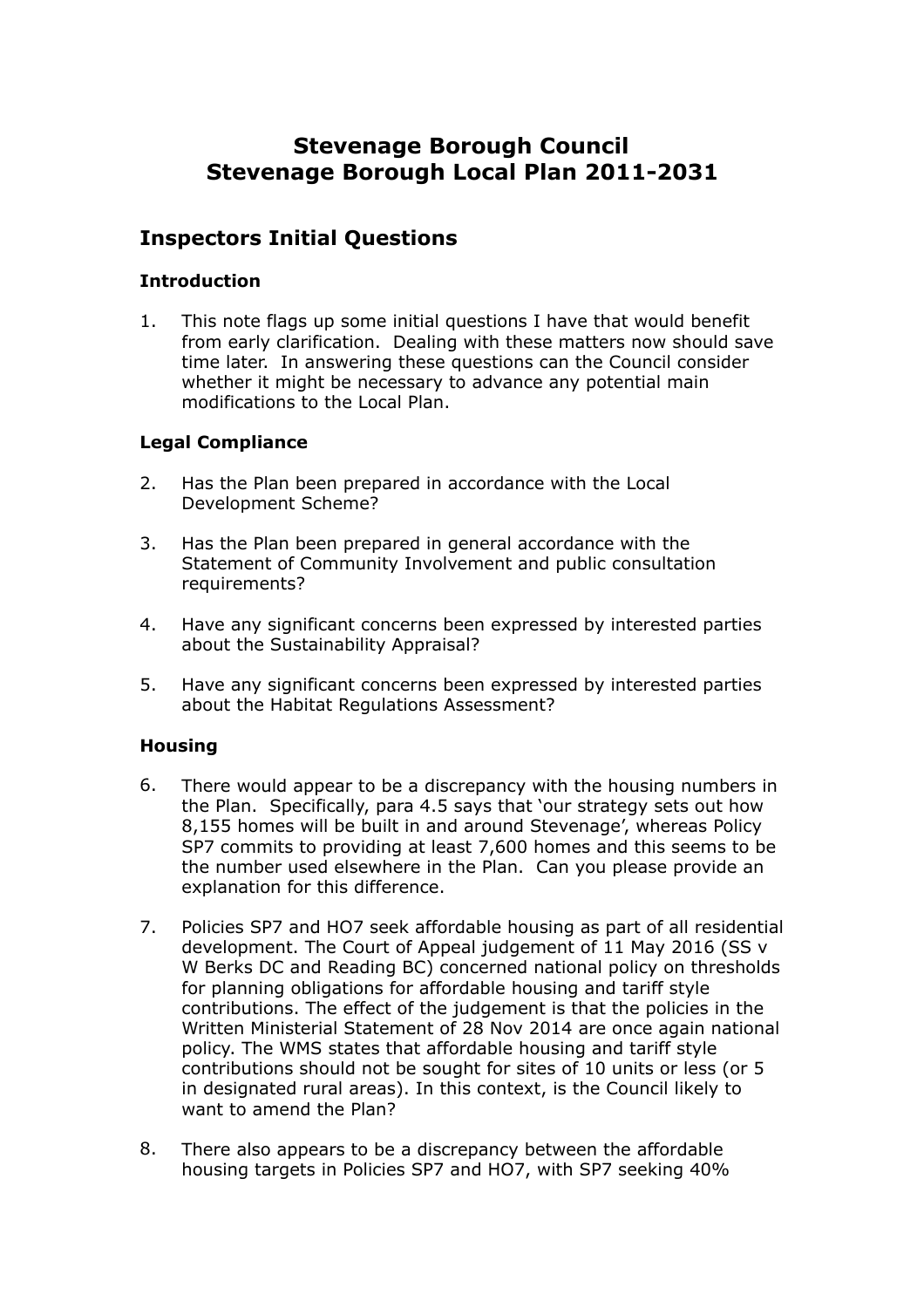# **Stevenage Borough Council Stevenage Borough Local Plan 2011-2031**

## **Inspectors Initial Questions**

#### **Introduction**

1. This note flags up some initial questions I have that would benefit from early clarification. Dealing with these matters now should save time later. In answering these questions can the Council consider whether it might be necessary to advance any potential main modifications to the Local Plan.

### **Legal Compliance**

- 2. Has the Plan been prepared in accordance with the Local Development Scheme?
- 3. Has the Plan been prepared in general accordance with the Statement of Community Involvement and public consultation requirements?
- 4. Have any significant concerns been expressed by interested parties about the Sustainability Appraisal?
- 5. Have any significant concerns been expressed by interested parties about the Habitat Regulations Assessment?

#### **Housing**

- 6. There would appear to be a discrepancy with the housing numbers in the Plan. Specifically, para 4.5 says that 'our strategy sets out how 8,155 homes will be built in and around Stevenage', whereas Policy SP7 commits to providing at least 7,600 homes and this seems to be the number used elsewhere in the Plan. Can you please provide an explanation for this difference.
- 7. Policies SP7 and HO7 seek affordable housing as part of all residential development. The Court of Appeal judgement of 11 May 2016 (SS v W Berks DC and Reading BC) concerned national policy on thresholds for planning obligations for affordable housing and tariff style contributions. The effect of the judgement is that the policies in the Written Ministerial Statement of 28 Nov 2014 are once again national policy. The WMS states that affordable housing and tariff style contributions should not be sought for sites of 10 units or less (or 5 in designated rural areas). In this context, is the Council likely to want to amend the Plan?
- 8. There also appears to be a discrepancy between the affordable housing targets in Policies SP7 and HO7, with SP7 seeking 40%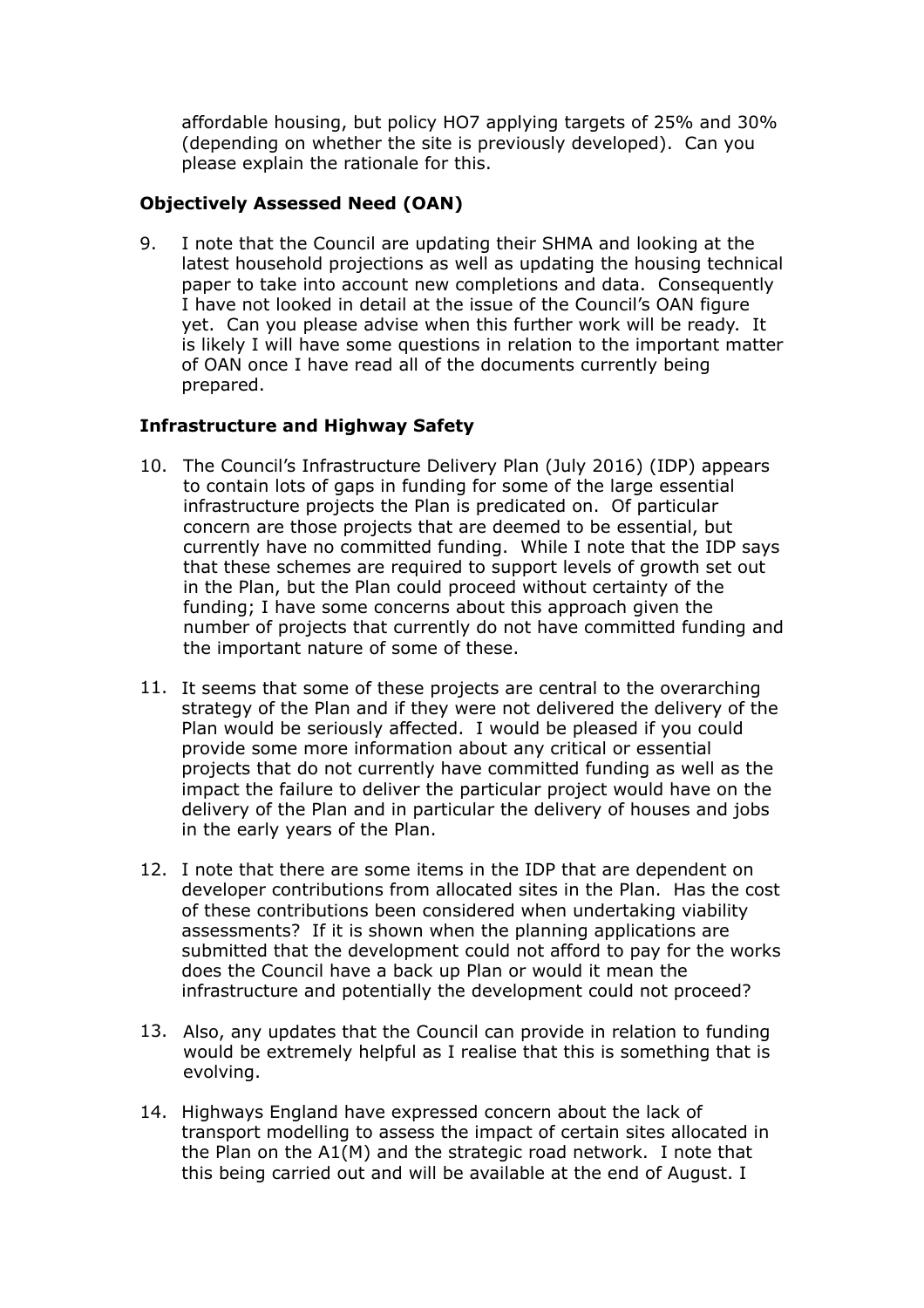affordable housing, but policy HO7 applying targets of 25% and 30% (depending on whether the site is previously developed). Can you please explain the rationale for this.

## **Objectively Assessed Need (OAN)**

9. I note that the Council are updating their SHMA and looking at the latest household projections as well as updating the housing technical paper to take into account new completions and data. Consequently I have not looked in detail at the issue of the Council's OAN figure yet. Can you please advise when this further work will be ready. It is likely I will have some questions in relation to the important matter of OAN once I have read all of the documents currently being prepared.

## **Infrastructure and Highway Safety**

- 10. The Council's Infrastructure Delivery Plan (July 2016) (IDP) appears to contain lots of gaps in funding for some of the large essential infrastructure projects the Plan is predicated on. Of particular concern are those projects that are deemed to be essential, but currently have no committed funding. While I note that the IDP says that these schemes are required to support levels of growth set out in the Plan, but the Plan could proceed without certainty of the funding; I have some concerns about this approach given the number of projects that currently do not have committed funding and the important nature of some of these.
- 11. It seems that some of these projects are central to the overarching strategy of the Plan and if they were not delivered the delivery of the Plan would be seriously affected. I would be pleased if you could provide some more information about any critical or essential projects that do not currently have committed funding as well as the impact the failure to deliver the particular project would have on the delivery of the Plan and in particular the delivery of houses and jobs in the early years of the Plan.
- 12. I note that there are some items in the IDP that are dependent on developer contributions from allocated sites in the Plan. Has the cost of these contributions been considered when undertaking viability assessments? If it is shown when the planning applications are submitted that the development could not afford to pay for the works does the Council have a back up Plan or would it mean the infrastructure and potentially the development could not proceed?
- 13. Also, any updates that the Council can provide in relation to funding would be extremely helpful as I realise that this is something that is evolving.
- 14. Highways England have expressed concern about the lack of transport modelling to assess the impact of certain sites allocated in the Plan on the A1(M) and the strategic road network. I note that this being carried out and will be available at the end of August. I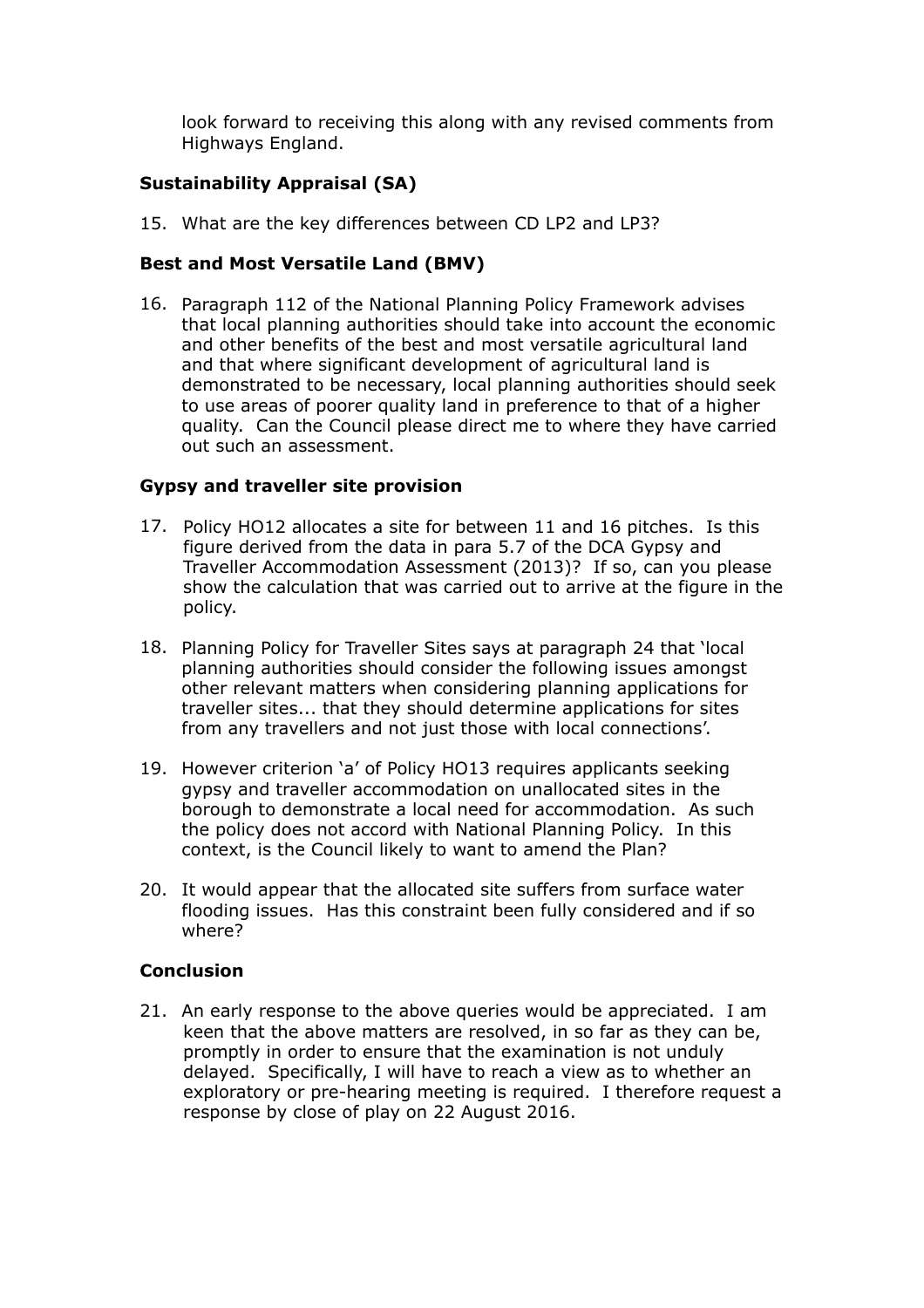look forward to receiving this along with any revised comments from Highways England.

## **Sustainability Appraisal (SA)**

15. What are the key differences between CD LP2 and LP3?

## **Best and Most Versatile Land (BMV)**

16. Paragraph 112 of the National Planning Policy Framework advises that local planning authorities should take into account the economic and other benefits of the best and most versatile agricultural land and that where significant development of agricultural land is demonstrated to be necessary, local planning authorities should seek to use areas of poorer quality land in preference to that of a higher quality. Can the Council please direct me to where they have carried out such an assessment.

### **Gypsy and traveller site provision**

- 17. Policy HO12 allocates a site for between 11 and 16 pitches. Is this figure derived from the data in para 5.7 of the DCA Gypsy and Traveller Accommodation Assessment (2013)? If so, can you please show the calculation that was carried out to arrive at the figure in the policy.
- 18. Planning Policy for Traveller Sites says at paragraph 24 that 'local planning authorities should consider the following issues amongst other relevant matters when considering planning applications for traveller sites... that they should determine applications for sites from any travellers and not just those with local connections'.
- 19. However criterion 'a' of Policy HO13 requires applicants seeking gypsy and traveller accommodation on unallocated sites in the borough to demonstrate a local need for accommodation. As such the policy does not accord with National Planning Policy. In this context, is the Council likely to want to amend the Plan?
- 20. It would appear that the allocated site suffers from surface water flooding issues. Has this constraint been fully considered and if so where?

### **Conclusion**

21. An early response to the above queries would be appreciated. I am keen that the above matters are resolved, in so far as they can be, promptly in order to ensure that the examination is not unduly delayed. Specifically, I will have to reach a view as to whether an exploratory or pre-hearing meeting is required. I therefore request a response by close of play on 22 August 2016.